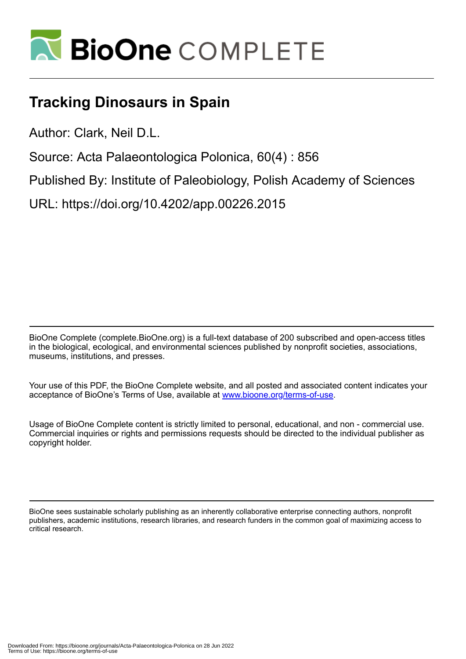

## **Tracking Dinosaurs in Spain**

Author: Clark, Neil D.L.

Source: Acta Palaeontologica Polonica, 60(4) : 856

Published By: Institute of Paleobiology, Polish Academy of Sciences

URL: https://doi.org/10.4202/app.00226.2015

BioOne Complete (complete.BioOne.org) is a full-text database of 200 subscribed and open-access titles in the biological, ecological, and environmental sciences published by nonprofit societies, associations, museums, institutions, and presses.

Your use of this PDF, the BioOne Complete website, and all posted and associated content indicates your acceptance of BioOne's Terms of Use, available at www.bioone.org/terms-of-use.

Usage of BioOne Complete content is strictly limited to personal, educational, and non - commercial use. Commercial inquiries or rights and permissions requests should be directed to the individual publisher as copyright holder.

BioOne sees sustainable scholarly publishing as an inherently collaborative enterprise connecting authors, nonprofit publishers, academic institutions, research libraries, and research funders in the common goal of maximizing access to critical research.